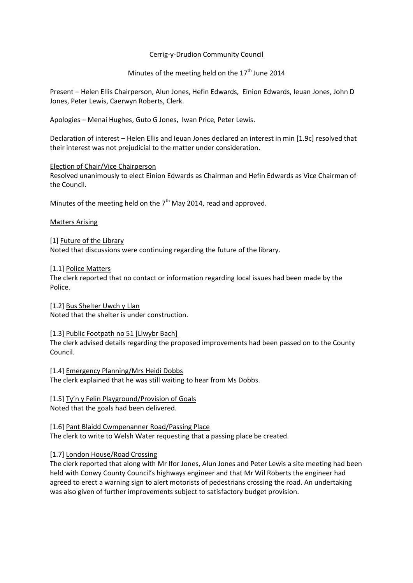## Cerrig-y-Drudion Community Council

Minutes of the meeting held on the  $17<sup>th</sup>$  June 2014

Present – Helen Ellis Chairperson, Alun Jones, Hefin Edwards, Einion Edwards, Ieuan Jones, John D Jones, Peter Lewis, Caerwyn Roberts, Clerk.

Apologies – Menai Hughes, Guto G Jones, Iwan Price, Peter Lewis.

Declaration of interest – Helen Ellis and Ieuan Jones declared an interest in min [1.9c] resolved that their interest was not prejudicial to the matter under consideration.

#### Election of Chair/Vice Chairperson

Resolved unanimously to elect Einion Edwards as Chairman and Hefin Edwards as Vice Chairman of the Council.

Minutes of the meeting held on the  $7<sup>th</sup>$  May 2014, read and approved.

## Matters Arising

## [1] Future of the Library

Noted that discussions were continuing regarding the future of the library.

[1.1] Police Matters

The clerk reported that no contact or information regarding local issues had been made by the Police.

[1.2] Bus Shelter Uwch y Llan Noted that the shelter is under construction.

#### [1.3] Public Footpath no 51 [Llwybr Bach]

The clerk advised details regarding the proposed improvements had been passed on to the County Council.

[1.4] Emergency Planning/Mrs Heidi Dobbs The clerk explained that he was still waiting to hear from Ms Dobbs.

[1.5] Ty'n y Felin Playground/Provision of Goals Noted that the goals had been delivered.

[1.6] Pant Blaidd Cwmpenanner Road/Passing Place The clerk to write to Welsh Water requesting that a passing place be created.

# [1.7] London House/Road Crossing

The clerk reported that along with Mr Ifor Jones, Alun Jones and Peter Lewis a site meeting had been held with Conwy County Council's highways engineer and that Mr Wil Roberts the engineer had agreed to erect a warning sign to alert motorists of pedestrians crossing the road. An undertaking was also given of further improvements subject to satisfactory budget provision.